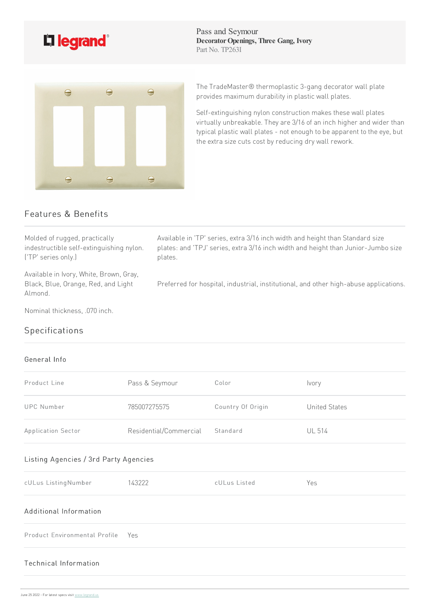

Pass and Seymour **DecoratorOpenings, Three Gang, Ivory** Part No. TP263I



The TradeMaster® thermoplastic 3-gang decorator wall plate provides maximum durability in plastic wall plates.

Self-extinguishing nylon construction makes these wall plates virtually unbreakable. They are 3/16 of an inch higher and wider than typical plastic wall plates - not enough to be apparent to the eye, but the extra size cuts cost by reducing dry wall rework.

## Features & Benefits

Molded of rugged, practically indestructible self-extinguishing nylon. ('TP' seriesonly.)

Available in Ivory, White, Brown, Gray, Black, Blue, Orange, Red, and Light Almond.

Nominal thickness, .070 inch.

## Specifications

## General Info

| Product Line                          | Pass & Seymour         | Color             | Ivory                |  |
|---------------------------------------|------------------------|-------------------|----------------------|--|
| <b>UPC Number</b>                     | 785007275575           | Country Of Origin | <b>United States</b> |  |
| Application Sector                    | Residential/Commercial | Standard          | <b>UL 514</b>        |  |
| Listing Agencies / 3rd Party Agencies |                        |                   |                      |  |
| cULus ListingNumber                   | 143222                 | cULus Listed      | Yes                  |  |
| Additional Information                |                        |                   |                      |  |
| Product Environmental Profile         | Yes                    |                   |                      |  |
| Technical Information                 |                        |                   |                      |  |

Available in 'TP' series, extra 3/16 inch width and height than Standard size plates: and 'TPJ' series, extra 3/16 inch width and height than Junior-Jumbo size plates.

Preferred for hospital, industrial, institutional, and other high-abuse applications.